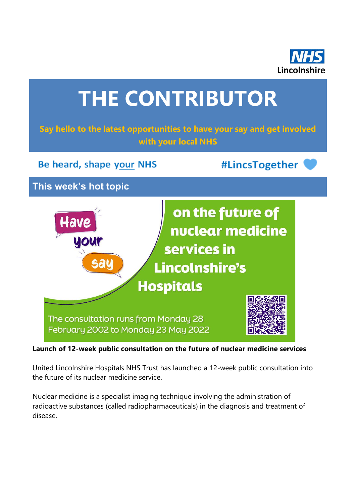



**Launch of 12-week public consultation on the future of nuclear medicine services**

United Lincolnshire Hospitals NHS Trust has launched a 12-week public consultation into the future of its nuclear medicine service.

Nuclear medicine is a specialist imaging technique involving the administration of radioactive substances (called radiopharmaceuticals) in the diagnosis and treatment of disease.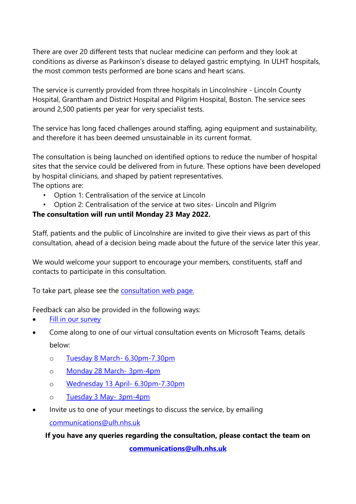There are over 20 different tests that nuclear medicine can perform and they look at conditions as diverse as Parkinson's disease to delayed gastric emptying. In ULHT hospitals, the most common tests performed are bone scans and heart scans.

The service is currently provided from three hospitals in Lincolnshire - Lincoln County Hospital, Grantham and District Hospital and Pilgrim Hospital, Boston. The service sees around 2,500 patients per year for very specialist tests.

The service has long faced challenges around staffing, aging equipment and sustainability, and therefore it has been deemed unsustainable in its current format.

The consultation is being launched on identified options to reduce the number of hospital sites that the service could be delivered from in future. These options have been developed by hospital clinicians, and shaped by patient representatives.

The options are:

- Option 1: Centralisation of the service at Lincoln
- Option 2: Centralisation of the service at two sites- Lincoln and Pilgrim

#### **The consultation will run until Monday 23 May 2022.**

Staff, patients and the public of Lincolnshire are invited to give their views as part of this consultation, ahead of a decision being made about the future of the service later this year.

We would welcome your support to encourage your members, constituents, staff and contacts to participate in this consultation.

To take part, please see the [consultation web page.](https://www.ulh.nhs.uk/about/have-your-say/sharing-your-views/nuclear-medicine-consultation/)

Feedback can also be provided in the following ways:

- [Fill in our survey](https://nhslincolnshire.qualtrics.com/jfe/form/SV_9AA8h9CoAvknTf0?Q_CHL=qr)
- Come along to one of our virtual consultation events on Microsoft Teams, details

below:

- o [Tuesday 8 March-](https://teams.microsoft.com/l/meetup-join/19%3ameeting_NmUwZDRlOWItNWU5Yi00ZjZkLThmMzktMWU1YTUwYjIzMmM5%40thread.v2/0?context=%7b%22Tid%22%3a%2281904315-5441-442d-b4ed-7170d5ab2b1b%22%2c%22Oid%22%3a%224bc8f871-af7b-4f52-bc25-22c790d21d7e%22%7d) 6.30pm-7.30pm
- o [Monday 28 March-](https://teams.microsoft.com/l/meetup-join/19%3ameeting_ZGZlNzA5YzktOWUzNy00Y2I4LTg3ZWYtZTdlODE4YjcwZTQx%40thread.v2/0?context=%7b%22Tid%22%3a%2281904315-5441-442d-b4ed-7170d5ab2b1b%22%2c%22Oid%22%3a%224bc8f871-af7b-4f52-bc25-22c790d21d7e%22%7d) 3pm-4pm
- o [Wednesday 13 April-](https://teams.microsoft.com/l/meetup-join/19%3ameeting_ZTcwZTYzNDMtZTJlMy00YjZlLTkwZjYtZjM2ODA4Y2JjNjMz%40thread.v2/0?context=%7b%22Tid%22%3a%2281904315-5441-442d-b4ed-7170d5ab2b1b%22%2c%22Oid%22%3a%224bc8f871-af7b-4f52-bc25-22c790d21d7e%22%7d) 6.30pm-7.30pm
- o [Tuesday 3 May-](https://teams.microsoft.com/l/meetup-join/19%3ameeting_YTQyMjhlYzQtZDQ4Ny00MDc2LTlhNmItN2JlODlkZTJkNzI5%40thread.v2/0?context=%7b%22Tid%22%3a%2281904315-5441-442d-b4ed-7170d5ab2b1b%22%2c%22Oid%22%3a%224bc8f871-af7b-4f52-bc25-22c790d21d7e%22%7d) 3pm-4pm
- Invite us to one of your meetings to discuss the service, by emailing [communications@ulh.nhs.uk](mailto:communications@ulh.nhs.uk)

**If you have any queries regarding the consultation, please contact the team on** 

**[communications@ulh.nhs.uk](mailto:communications@ulh.nhs.uk)**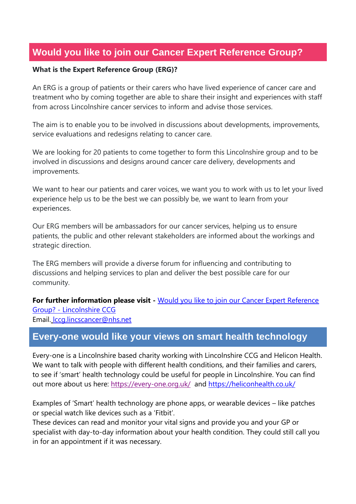# **Would you like to join our Cancer Expert Reference Group?**

#### **What is the Expert Reference Group (ERG)?**

An ERG is a group of patients or their carers who have lived experience of cancer care and treatment who by coming together are able to share their insight and experiences with staff from across Lincolnshire cancer services to inform and advise those services.

The aim is to enable you to be involved in discussions about developments, improvements, service evaluations and redesigns relating to cancer care.

We are looking for 20 patients to come together to form this Lincolnshire group and to be involved in discussions and designs around cancer care delivery, developments and improvements.

We want to hear our patients and carer voices, we want you to work with us to let your lived experience help us to be the best we can possibly be, we want to learn from your experiences.

Our ERG members will be ambassadors for our cancer services, helping us to ensure patients, the public and other relevant stakeholders are informed about the workings and strategic direction.

The ERG members will provide a diverse forum for influencing and contributing to discussions and helping services to plan and deliver the best possible care for our community.

**For further information please visit -** [Would you like to join our Cancer Expert Reference](https://lincolnshireccg.nhs.uk/would-you-like-to-join-our-cancer-expert-reference-group/)  Group? - [Lincolnshire CCG](https://lincolnshireccg.nhs.uk/would-you-like-to-join-our-cancer-expert-reference-group/) Email. lccg.lincscancer@nhs.net

## **Every-one would like your views on smart health technology**

Every-one is a Lincolnshire based charity working with Lincolnshire CCG and Helicon Health. We want to talk with people with different health conditions, and their families and carers, to see if 'smart' health technology could be useful for people in Lincolnshire. You can find out more about us here: <https://every-one.org.uk/>and<https://heliconhealth.co.uk/>

Examples of 'Smart' health technology are phone apps, or wearable devices – like patches or special watch like devices such as a 'Fitbit'.

These devices can read and monitor your vital signs and provide you and your GP or specialist with day-to-day information about your health condition. They could still call you in for an appointment if it was necessary.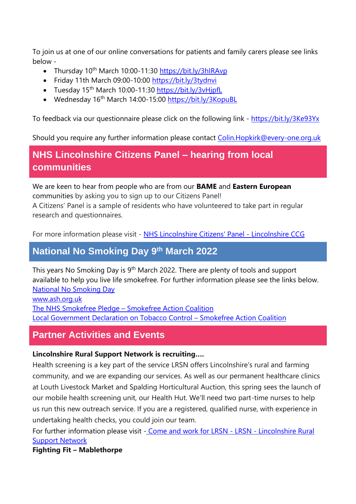To join us at one of our online conversations for patients and family carers please see links below -

- Thursday 10<sup>th</sup> March 10:00-11:30 <https://bit.ly/3hIRAvp>
- Friday 11th March 09:00-10:00 <https://bit.ly/3tydnvi>
- Tuesday 15<sup>th</sup> March 10:00-11:30 https://bit.ly/3vHipfL
- Wednesday 16th March 14:00-15:00 <https://bit.ly/3KopuBL>

To feedback via our questionnaire please click on the following link - <https://bit.ly/3Ke93Yx>

Should you require any further information please contact Colin. Hopkirk@every-one.org.uk

# **NHS Lincolnshire Citizens Panel – hearing from local communities**

We are keen to hear from people who are from our **BAME** and **Eastern European** communities by asking you to sign up to our Citizens Panel! A Citizens' Panel is a sample of residents who have volunteered to take part in regular research and questionnaires.

For more information please visit - [NHS Lincolnshire Citizens' Panel -](https://lincolnshireccg.nhs.uk/citizenpanel/) Lincolnshire CCG

### **National No Smoking Day 9 th March 2022**

This years No Smoking Day is 9<sup>th</sup> March 2022. There are plenty of tools and support available to help you live life smokefree. For further information please see the links below. [National No Smoking Day](https://gbr01.safelinks.protection.outlook.com/?url=https%3A%2F%2Fwww.todayistheday.co.uk%2F&data=04%7C01%7CPaul.Johnson%40lincolnshire.gov.uk%7C7a87f5eb51704a02ebb708d9fd10e631%7Cb4e05b92f8ce46b59b2499ba5c11e5e9%7C0%7C0%7C637819071292045068%7CUnknown%7CTWFpbGZsb3d8eyJWIjoiMC4wLjAwMDAiLCJQIjoiV2luMzIiLCJBTiI6Ik1haWwiLCJXVCI6Mn0%3D%7C3000&sdata=PwMkjWebZUphFp5YajtPQzlWFOEx%2FI%2BpsS0tbxOnCcc%3D&reserved=0) [www.ash.org.uk](http://www.ash.org.uk/) [The NHS Smokefree Pledge](https://smokefreeaction.org.uk/smokefree-nhs/nhs-smokefree-pledge/) – Smokefree Action Coalition [Local Government Declaration on Tobacco Control](https://smokefreeaction.org.uk/declarationsindex-html/) – Smokefree Action Coalition

## **Partner Activities and Events**

#### **Lincolnshire Rural Support Network is recruiting….**

Health screening is a key part of the service LRSN offers Lincolnshire's rural and farming community, and we are expanding our services. As well as our permanent healthcare clinics at Louth Livestock Market and Spalding Horticultural Auction, this spring sees the launch of our mobile health screening unit, our Health Hut. We'll need two part-time nurses to help us run this new outreach service. If you are a registered, qualified nurse, with experience in undertaking health checks, you could join our team.

For further information please visit - [Come and work for LRSN -](https://www.lrsn.co.uk/whats-happening/latest-news/come-and-work-for-lrsn/) LRSN - Lincolnshire Rural [Support Network](https://www.lrsn.co.uk/whats-happening/latest-news/come-and-work-for-lrsn/)

**Fighting Fit – Mablethorpe**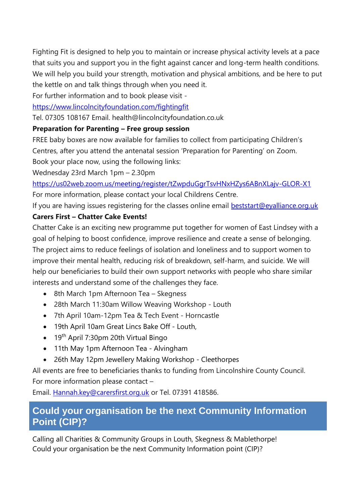Fighting Fit is designed to help you to maintain or increase physical activity levels at a pace that suits you and support you in the fight against cancer and long-term health conditions. We will help you build your strength, motivation and physical ambitions, and be here to put the kettle on and talk things through when you need it.

For further information and to book please visit -

<https://www.lincolncityfoundation.com/fightingfit>

Tel. 07305 108167 Email. health@lincolncityfoundation.co.uk

### **Preparation for Parenting – Free group session**

FREE baby boxes are now available for families to collect from participating Children's Centres, after you attend the antenatal session 'Preparation for Parenting' on Zoom.

Book your place now, using the following links:

Wednesday 23rd March 1pm – 2.30pm

<https://us02web.zoom.us/meeting/register/tZwpduGgrTsvHNxHZys6ABnXLajv-GLOR-X1> For more information, please contact your local Childrens Centre.

If you are having issues registering for the classes online email **beststart@eyalliance.org.uk** 

### **Carers First – Chatter Cake Events!**

Chatter Cake is an exciting new programme put together for women of East Lindsey with a goal of helping to boost confidence, improve resilience and create a sense of belonging. The project aims to reduce feelings of isolation and loneliness and to support women to improve their mental health, reducing risk of breakdown, self-harm, and suicide. We will help our beneficiaries to build their own support networks with people who share similar interests and understand some of the challenges they face.

- 8th March 1pm Afternoon Tea Skegness
- 28th March 11:30am Willow Weaving Workshop Louth
- 7th April 10am-12pm Tea & Tech Event Horncastle
- 19th April 10am Great Lincs Bake Off Louth,
- 19<sup>th</sup> April 7:30pm 20th Virtual Bingo
- 11th May 1pm Afternoon Tea Alvingham
- 26th May 12pm Jewellery Making Workshop Cleethorpes

All events are free to beneficiaries thanks to funding from Lincolnshire County Council. For more information please contact –

Email. Hannah.key@carersfirst.org.uk or Tel. 07391 418586.

## **Could your organisation be the next Community Information Point (CIP)?**

Calling all Charities & Community Groups in Louth, Skegness & Mablethorpe! Could your organisation be the next Community Information point (CIP)?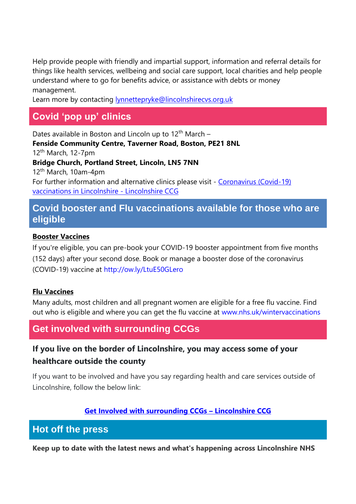Help provide people with friendly and impartial support, information and referral details for things like health services, wellbeing and social care support, local charities and help people understand where to go for benefits advice, or assistance with debts or money management.

Learn more by contacting [lynnettepryke@lincolnshirecvs.org.uk](mailto:lynnettepryke@lincolnshirecvs.org.uk)

# **Covid 'pop up' clinics**

Dates available in Boston and Lincoln up to  $12<sup>th</sup>$  March – **Fenside Community Centre, Taverner Road, Boston, PE21 8NL** 12<sup>th</sup> March, 12-7pm **Bridge Church, Portland Street, Lincoln, LN5 7NN** 12th March, 10am-4pm For further information and alternative clinics please visit - Coronavirus (Covid-19) [vaccinations in Lincolnshire -](https://lincolnshireccg.nhs.uk/grab-a-jab/) Lincolnshire CCG

## **Covid booster and Flu vaccinations available for those who are eligible**

#### **Booster Vaccines**

If you're eligible, you can pre-book your COVID-19 booster appointment from five months (152 days) after your second dose. Book or manage a booster dose of the coronavirus (COVID-19) vaccine at [http://ow.ly/LtuE50GLero](http://ow.ly/LtuE50GLero?fbclid=IwAR3XJEWleqYaBsRKKEZvzOQTPhh6xJMHMX7CjAbY_UUfz6ZWyBf0D1-L7zQ)

#### **Flu Vaccines**

Many adults, most children and all pregnant women are eligible for a free flu vaccine. Find out who is eligible and where you can get the flu vaccine at [www.nhs.uk/wintervaccinations](http://www.nhs.uk/wintervaccinations?fbclid=IwAR1SzErYHhJMDfl_VlN1aZcnq-67N6npy7XQ2Y4ZA4Yp1fEVZXhfvNfkDrs)

## **Get involved with surrounding CCGs**

## **If you live on the border of Lincolnshire, you may access some of your healthcare outside the county**

If you want to be involved and have you say regarding health and care services outside of Lincolnshire, follow the below link:

### **[Get Involved with surrounding CCGs](https://lincolnshireccg.nhs.uk/get-involved/how-to-get-involved/get-involved-with-surrounding-ccgs/) – Lincolnshire CCG**

### **Hot off the press**

**Keep up to date with the latest news and what's happening across Lincolnshire NHS**